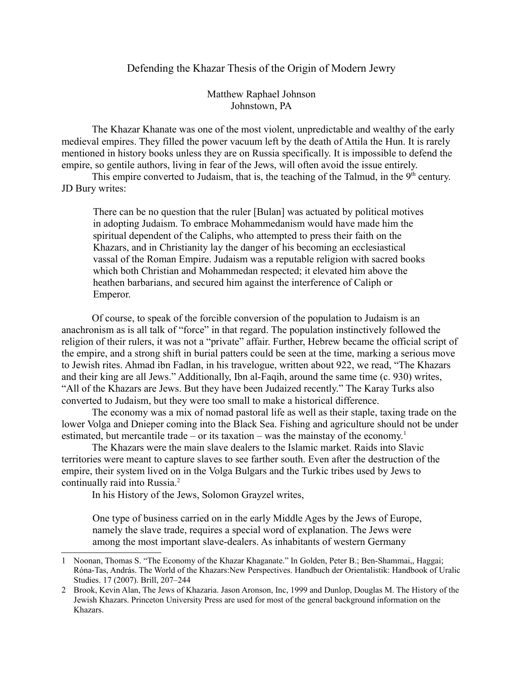## Defending the Khazar Thesis of the Origin of Modern Jewry

Matthew Raphael Johnson Johnstown, PA

The Khazar Khanate was one of the most violent, unpredictable and wealthy of the early medieval empires. They filled the power vacuum left by the death of Attila the Hun. It is rarely mentioned in history books unless they are on Russia specifically. It is impossible to defend the empire, so gentile authors, living in fear of the Jews, will often avoid the issue entirely.

This empire converted to Judaism, that is, the teaching of the Talmud, in the  $9<sup>th</sup>$  century. JD Bury writes:

There can be no question that the ruler [Bulan] was actuated by political motives in adopting Judaism. To embrace Mohammedanism would have made him the spiritual dependent of the Caliphs, who attempted to press their faith on the Khazars, and in Christianity lay the danger of his becoming an ecclesiastical vassal of the Roman Empire. Judaism was a reputable religion with sacred books which both Christian and Mohammedan respected; it elevated him above the heathen barbarians, and secured him against the interference of Caliph or Emperor.

Of course, to speak of the forcible conversion of the population to Judaism is an anachronism as is all talk of "force" in that regard. The population instinctively followed the religion of their rulers, it was not a "private" affair. Further, Hebrew became the official script of the empire, and a strong shift in burial patters could be seen at the time, marking a serious move to Jewish rites. Ahmad ibn Fadlan, in his travelogue, written about 922, we read, "The Khazars and their king are all Jews." Additionally, Ibn al-Faqih, around the same time (c. 930) writes, "All of the Khazars are Jews. But they have been Judaized recently." The Karay Turks also converted to Judaism, but they were too small to make a historical difference.

The economy was a mix of nomad pastoral life as well as their staple, taxing trade on the lower Volga and Dnieper coming into the Black Sea. Fishing and agriculture should not be under estimated, but mercantile trade – or its taxation – was the mainstay of the economy.<sup>[1](#page-0-0)</sup>

The Khazars were the main slave dealers to the Islamic market. Raids into Slavic territories were meant to capture slaves to see farther south. Even after the destruction of the empire, their system lived on in the Volga Bulgars and the Turkic tribes used by Jews to continually raid into Russia.<sup>[2](#page-0-1)</sup>

In his History of the Jews, Solomon Grayzel writes,

One type of business carried on in the early Middle Ages by the Jews of Europe, namely the slave trade, requires a special word of explanation. The Jews were among the most important slave-dealers. As inhabitants of western Germany

<span id="page-0-0"></span><sup>1</sup> Noonan, Thomas S. "The Economy of the Khazar Khaganate." In Golden, Peter B.; Ben-Shammai,, Haggai; Róna-Tas, András. The World of the Khazars:New Perspectives. Handbuch der Orientalistik: Handbook of Uralic Studies. 17 (2007). Brill, 207–244

<span id="page-0-1"></span><sup>2</sup> Brook, Kevin Alan, The Jews of Khazaria. Jason Aronson, Inc, 1999 and Dunlop, Douglas M. The History of the Jewish Khazars. Princeton University Press are used for most of the general background information on the Khazars.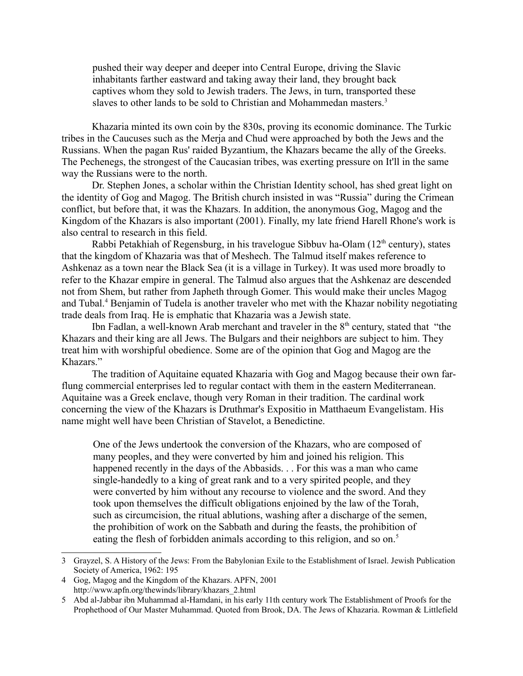pushed their way deeper and deeper into Central Europe, driving the Slavic inhabitants farther eastward and taking away their land, they brought back captives whom they sold to Jewish traders. The Jews, in turn, transported these slaves to other lands to be sold to Christian and Mohammedan masters.<sup>[3](#page-1-0)</sup>

Khazaria minted its own coin by the 830s, proving its economic dominance. The Turkic tribes in the Caucuses such as the Merja and Chud were approached by both the Jews and the Russians. When the pagan Rus' raided Byzantium, the Khazars became the ally of the Greeks. The Pechenegs, the strongest of the Caucasian tribes, was exerting pressure on It'll in the same way the Russians were to the north.

Dr. Stephen Jones, a scholar within the Christian Identity school, has shed great light on the identity of Gog and Magog. The British church insisted in was "Russia" during the Crimean conflict, but before that, it was the Khazars. In addition, the anonymous Gog, Magog and the Kingdom of the Khazars is also important (2001). Finally, my late friend Harell Rhone's work is also central to research in this field.

Rabbi Petakhiah of Regensburg, in his travelogue Sibbuv ha-Olam  $(12<sup>th</sup>$  century), states that the kingdom of Khazaria was that of Meshech. The Talmud itself makes reference to Ashkenaz as a town near the Black Sea (it is a village in Turkey). It was used more broadly to refer to the Khazar empire in general. The Talmud also argues that the Ashkenaz are descended not from Shem, but rather from Japheth through Gomer. This would make their uncles Magog and Tubal.<sup>[4](#page-1-1)</sup> Benjamin of Tudela is another traveler who met with the Khazar nobility negotiating trade deals from Iraq. He is emphatic that Khazaria was a Jewish state.

Ibn Fadlan, a well-known Arab merchant and traveler in the  $8<sup>th</sup>$  century, stated that "the Khazars and their king are all Jews. The Bulgars and their neighbors are subject to him. They treat him with worshipful obedience. Some are of the opinion that Gog and Magog are the Khazars."

The tradition of Aquitaine equated Khazaria with Gog and Magog because their own farflung commercial enterprises led to regular contact with them in the eastern Mediterranean. Aquitaine was a Greek enclave, though very Roman in their tradition. The cardinal work concerning the view of the Khazars is Druthmar's Expositio in Matthaeum Evangelistam. His name might well have been Christian of Stavelot, a Benedictine.

One of the Jews undertook the conversion of the Khazars, who are composed of many peoples, and they were converted by him and joined his religion. This happened recently in the days of the Abbasids. . . For this was a man who came single-handedly to a king of great rank and to a very spirited people, and they were converted by him without any recourse to violence and the sword. And they took upon themselves the difficult obligations enjoined by the law of the Torah, such as circumcision, the ritual ablutions, washing after a discharge of the semen, the prohibition of work on the Sabbath and during the feasts, the prohibition of eating the flesh of forbidden animals according to this religion, and so on.<sup>[5](#page-1-2)</sup>

<span id="page-1-0"></span><sup>3</sup> Grayzel, S. A History of the Jews: From the Babylonian Exile to the Establishment of Israel. Jewish Publication Society of America, 1962: 195

<span id="page-1-1"></span><sup>4</sup> Gog, Magog and the Kingdom of the Khazars. APFN, 2001 http://www.apfn.org/thewinds/library/khazars\_2.html

<span id="page-1-2"></span><sup>5</sup> Abd al-Jabbar ibn Muhammad al-Hamdani, in his early 11th century work The Establishment of Proofs for the Prophethood of Our Master Muhammad. Quoted from Brook, DA. The Jews of Khazaria. Rowman & Littlefield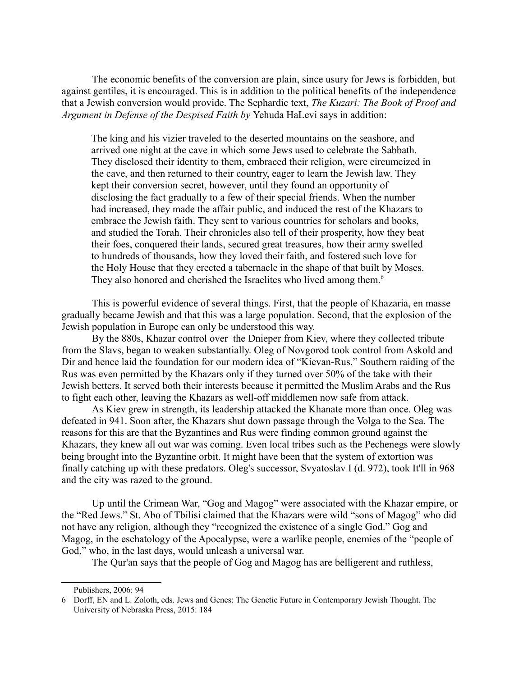The economic benefits of the conversion are plain, since usury for Jews is forbidden, but against gentiles, it is encouraged. This is in addition to the political benefits of the independence that a Jewish conversion would provide. The Sephardic text, *The Kuzari: The Book of Proof and Argument in Defense of the Despised Faith by* Yehuda HaLevi says in addition:

The king and his vizier traveled to the deserted mountains on the seashore, and arrived one night at the cave in which some Jews used to celebrate the Sabbath. They disclosed their identity to them, embraced their religion, were circumcized in the cave, and then returned to their country, eager to learn the Jewish law. They kept their conversion secret, however, until they found an opportunity of disclosing the fact gradually to a few of their special friends. When the number had increased, they made the affair public, and induced the rest of the Khazars to embrace the Jewish faith. They sent to various countries for scholars and books, and studied the Torah. Their chronicles also tell of their prosperity, how they beat their foes, conquered their lands, secured great treasures, how their army swelled to hundreds of thousands, how they loved their faith, and fostered such love for the Holy House that they erected a tabernacle in the shape of that built by Moses. They also honored and cherished the Israelites who lived among them.<sup>[6](#page-2-0)</sup>

This is powerful evidence of several things. First, that the people of Khazaria, en masse gradually became Jewish and that this was a large population. Second, that the explosion of the Jewish population in Europe can only be understood this way.

By the 880s, Khazar control over the Dnieper from Kiev, where they collected tribute from the Slavs, began to weaken substantially. Oleg of Novgorod took control from Askold and Dir and hence laid the foundation for our modern idea of "Kievan-Rus." Southern raiding of the Rus was even permitted by the Khazars only if they turned over 50% of the take with their Jewish betters. It served both their interests because it permitted the Muslim Arabs and the Rus to fight each other, leaving the Khazars as well-off middlemen now safe from attack.

As Kiev grew in strength, its leadership attacked the Khanate more than once. Oleg was defeated in 941. Soon after, the Khazars shut down passage through the Volga to the Sea. The reasons for this are that the Byzantines and Rus were finding common ground against the Khazars, they knew all out war was coming. Even local tribes such as the Pechenegs were slowly being brought into the Byzantine orbit. It might have been that the system of extortion was finally catching up with these predators. Oleg's successor, Svyatoslav I (d. 972), took It'll in 968 and the city was razed to the ground.

Up until the Crimean War, "Gog and Magog" were associated with the Khazar empire, or the "Red Jews." St. Abo of Tbilisi claimed that the Khazars were wild "sons of Magog" who did not have any religion, although they "recognized the existence of a single God." Gog and Magog, in the eschatology of the Apocalypse, were a warlike people, enemies of the "people of God," who, in the last days, would unleash a universal war.

The Qur'an says that the people of Gog and Magog has are belligerent and ruthless,

<span id="page-2-0"></span>Publishers, 2006: 94

<sup>6</sup> Dorff, EN and L. Zoloth, eds. Jews and Genes: The Genetic Future in Contemporary Jewish Thought. The University of Nebraska Press, 2015: 184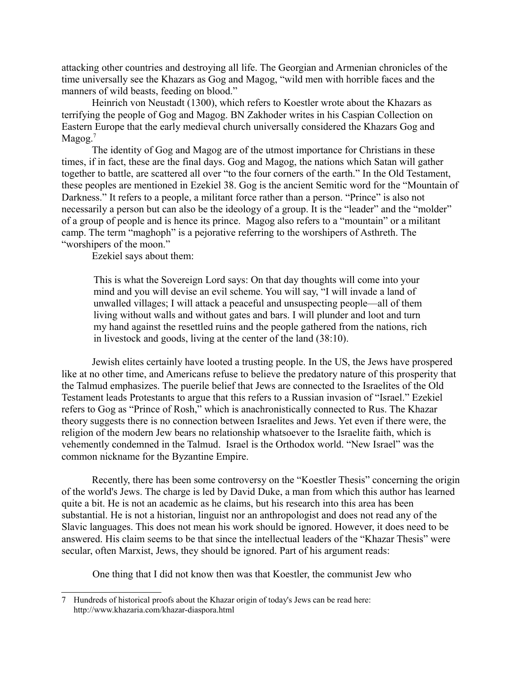attacking other countries and destroying all life. The Georgian and Armenian chronicles of the time universally see the Khazars as Gog and Magog, "wild men with horrible faces and the manners of wild beasts, feeding on blood."

Heinrich von Neustadt (1300), which refers to Koestler wrote about the Khazars as terrifying the people of Gog and Magog. BN Zakhoder writes in his Caspian Collection on Eastern Europe that the early medieval church universally considered the Khazars Gog and  $M$ agog.<sup>[7](#page-3-0)</sup>

The identity of Gog and Magog are of the utmost importance for Christians in these times, if in fact, these are the final days. Gog and Magog, the nations which Satan will gather together to battle, are scattered all over "to the four corners of the earth." In the Old Testament, these peoples are mentioned in Ezekiel 38. Gog is the ancient Semitic word for the "Mountain of Darkness." It refers to a people, a militant force rather than a person. "Prince" is also not necessarily a person but can also be the ideology of a group. It is the "leader" and the "molder" of a group of people and is hence its prince. Magog also refers to a "mountain" or a militant camp. The term "maghoph" is a pejorative referring to the worshipers of Asthreth. The "worshipers of the moon."

Ezekiel says about them:

This is what the Sovereign Lord says: On that day thoughts will come into your mind and you will devise an evil scheme. You will say, "I will invade a land of unwalled villages; I will attack a peaceful and unsuspecting people—all of them living without walls and without gates and bars. I will plunder and loot and turn my hand against the resettled ruins and the people gathered from the nations, rich in livestock and goods, living at the center of the land (38:10).

Jewish elites certainly have looted a trusting people. In the US, the Jews have prospered like at no other time, and Americans refuse to believe the predatory nature of this prosperity that the Talmud emphasizes. The puerile belief that Jews are connected to the Israelites of the Old Testament leads Protestants to argue that this refers to a Russian invasion of "Israel." Ezekiel refers to Gog as "Prince of Rosh," which is anachronistically connected to Rus. The Khazar theory suggests there is no connection between Israelites and Jews. Yet even if there were, the religion of the modern Jew bears no relationship whatsoever to the Israelite faith, which is vehemently condemned in the Talmud. Israel is the Orthodox world. "New Israel" was the common nickname for the Byzantine Empire.

Recently, there has been some controversy on the "Koestler Thesis" concerning the origin of the world's Jews. The charge is led by David Duke, a man from which this author has learned quite a bit. He is not an academic as he claims, but his research into this area has been substantial. He is not a historian, linguist nor an anthropologist and does not read any of the Slavic languages. This does not mean his work should be ignored. However, it does need to be answered. His claim seems to be that since the intellectual leaders of the "Khazar Thesis" were secular, often Marxist, Jews, they should be ignored. Part of his argument reads:

One thing that I did not know then was that Koestler, the communist Jew who

<span id="page-3-0"></span><sup>7</sup> Hundreds of historical proofs about the Khazar origin of today's Jews can be read here: http://www.khazaria.com/khazar-diaspora.html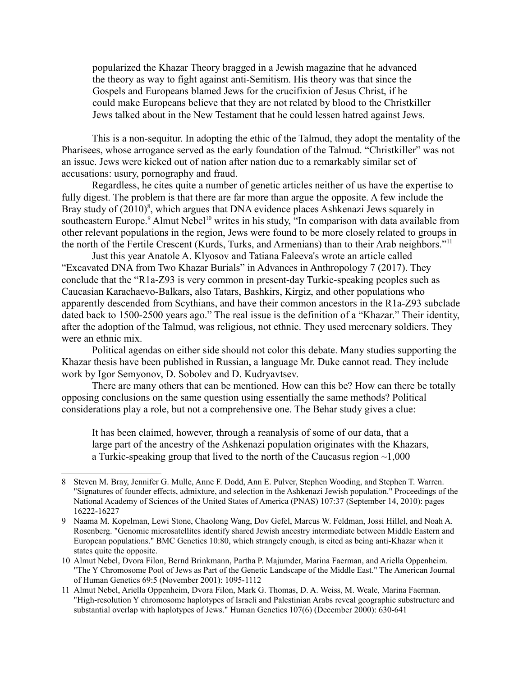popularized the Khazar Theory bragged in a Jewish magazine that he advanced the theory as way to fight against anti-Semitism. His theory was that since the Gospels and Europeans blamed Jews for the crucifixion of Jesus Christ, if he could make Europeans believe that they are not related by blood to the Christkiller Jews talked about in the New Testament that he could lessen hatred against Jews.

This is a non-sequitur. In adopting the ethic of the Talmud, they adopt the mentality of the Pharisees, whose arrogance served as the early foundation of the Talmud. "Christkiller" was not an issue. Jews were kicked out of nation after nation due to a remarkably similar set of accusations: usury, pornography and fraud.

Regardless, he cites quite a number of genetic articles neither of us have the expertise to fully digest. The problem is that there are far more than argue the opposite. A few include the Bray study of (2010)<sup>[8](#page-4-0)</sup>, which argues that DNA evidence places Ashkenazi Jews squarely in southeastern Europe.<sup>[9](#page-4-1)</sup> Almut Nebel<sup>[10](#page-4-2)</sup> writes in his study, "In comparison with data available from other relevant populations in the region, Jews were found to be more closely related to groups in the north of the Fertile Crescent (Kurds, Turks, and Armenians) than to their Arab neighbors."[11](#page-4-3)

Just this year Anatole A. Klyosov and Tatiana Faleeva's wrote an article called "Excavated DNA from Two Khazar Burials" in Advances in Anthropology 7 (2017). They conclude that the "R1a-Z93 is very common in present-day Turkic-speaking peoples such as Caucasian Karachaevo-Balkars, also Tatars, Bashkirs, Kirgiz, and other populations who apparently descended from Scythians, and have their common ancestors in the R1a-Z93 subclade dated back to 1500-2500 years ago." The real issue is the definition of a "Khazar." Their identity, after the adoption of the Talmud, was religious, not ethnic. They used mercenary soldiers. They were an ethnic mix.

Political agendas on either side should not color this debate. Many studies supporting the Khazar thesis have been published in Russian, a language Mr. Duke cannot read. They include work by Igor Semyonov, D. Sobolev and D. Kudryavtsev.

There are many others that can be mentioned. How can this be? How can there be totally opposing conclusions on the same question using essentially the same methods? Political considerations play a role, but not a comprehensive one. The Behar study gives a clue:

It has been claimed, however, through a reanalysis of some of our data, that a large part of the ancestry of the Ashkenazi population originates with the Khazars, a Turkic-speaking group that lived to the north of the Caucasus region  $\sim 1,000$ 

<span id="page-4-0"></span><sup>8</sup> Steven M. Bray, Jennifer G. Mulle, Anne F. Dodd, Ann E. Pulver, Stephen Wooding, and Stephen T. Warren. "Signatures of founder effects, admixture, and selection in the Ashkenazi Jewish population." Proceedings of the National Academy of Sciences of the United States of America (PNAS) 107:37 (September 14, 2010): pages 16222-16227

<span id="page-4-1"></span><sup>9</sup> Naama M. Kopelman, Lewi Stone, Chaolong Wang, Dov Gefel, Marcus W. Feldman, Jossi Hillel, and Noah A. Rosenberg. "Genomic microsatellites identify shared Jewish ancestry intermediate between Middle Eastern and European populations." BMC Genetics 10:80, which strangely enough, is cited as being anti-Khazar when it states quite the opposite.

<span id="page-4-2"></span><sup>10</sup> Almut Nebel, Dvora Filon, Bernd Brinkmann, Partha P. Majumder, Marina Faerman, and Ariella Oppenheim. "The Y Chromosome Pool of Jews as Part of the Genetic Landscape of the Middle East." The American Journal of Human Genetics 69:5 (November 2001): 1095-1112

<span id="page-4-3"></span><sup>11</sup> Almut Nebel, Ariella Oppenheim, Dvora Filon, Mark G. Thomas, D. A. Weiss, M. Weale, Marina Faerman. "High-resolution Y chromosome haplotypes of Israeli and Palestinian Arabs reveal geographic substructure and substantial overlap with haplotypes of Jews." Human Genetics 107(6) (December 2000): 630-641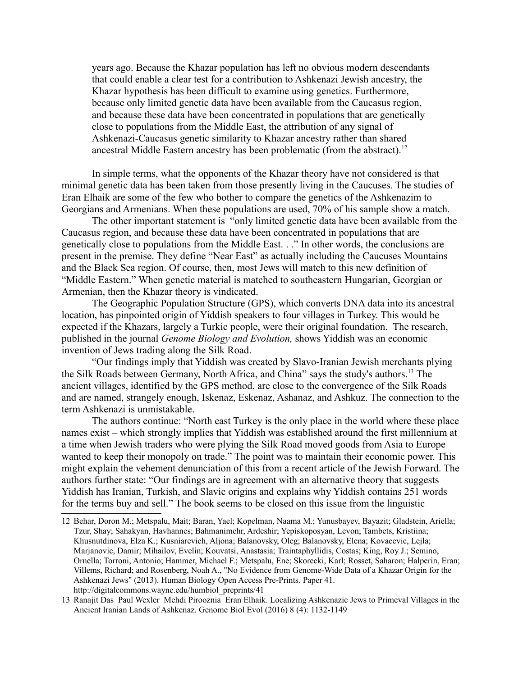years ago. Because the Khazar population has left no obvious modern descendants that could enable a clear test for a contribution to Ashkenazi Jewish ancestry, the Khazar hypothesis has been difficult to examine using genetics. Furthermore, because only limited genetic data have been available from the Caucasus region, and because these data have been concentrated in populations that are genetically close to populations from the Middle East, the attribution of any signal of Ashkenazi-Caucasus genetic similarity to Khazar ancestry rather than shared ancestral Middle Eastern ancestry has been problematic (from the abstract).<sup>[12](#page-5-0)</sup>

In simple terms, what the opponents of the Khazar theory have not considered is that minimal genetic data has been taken from those presently living in the Caucuses. The studies of Eran Elhaik are some of the few who bother to compare the genetics of the Ashkenazim to Georgians and Armenians. When these populations are used, 70% of his sample show a match.

The other important statement is "only limited genetic data have been available from the Caucasus region, and because these data have been concentrated in populations that are genetically close to populations from the Middle East. . ." In other words, the conclusions are present in the premise. They define "Near East" as actually including the Caucuses Mountains and the Black Sea region. Of course, then, most Jews will match to this new definition of "Middle Eastern." When genetic material is matched to southeastern Hungarian, Georgian or Armenian, then the Khazar theory is vindicated.

The Geographic Population Structure (GPS), which converts DNA data into its ancestral location, has pinpointed origin of Yiddish speakers to four villages in Turkey. This would be expected if the Khazars, largely a Turkic people, were their original foundation. The research, published in the journal *Genome Biology and Evolution,* shows Yiddish was an economic invention of Jews trading along the Silk Road.

"Our findings imply that Yiddish was created by Slavo-Iranian Jewish merchants plying the Silk Roads between Germany, North Africa, and China" says the study's authors.[13](#page-5-1) The ancient villages, identified by the GPS method, are close to the convergence of the Silk Roads and are named, strangely enough, Iskenaz, Eskenaz, Ashanaz, and Ashkuz. The connection to the term Ashkenazi is unmistakable.

The authors continue: "North east Turkey is the only place in the world where these place names exist – which strongly implies that Yiddish was established around the first millennium at a time when Jewish traders who were plying the Silk Road moved goods from Asia to Europe wanted to keep their monopoly on trade." The point was to maintain their economic power. This might explain the vehement denunciation of this from a recent article of the Jewish Forward. The authors further state: "Our findings are in agreement with an alternative theory that suggests Yiddish has Iranian, Turkish, and Slavic origins and explains why Yiddish contains 251 words for the terms buy and sell." The book seems to be closed on this issue from the linguistic

<span id="page-5-0"></span><sup>12</sup> Behar, Doron M.; Metspalu, Mait; Baran, Yael; Kopelman, Naama M.; Yunusbayev, Bayazit; Gladstein, Ariella; Tzur, Shay; Sahakyan, Havhannes; Bahmanimehr, Ardeshir; Yepiskoposyan, Levon; Tambets, Kristiina; Khusnutdinova, Elza K.; Kusniarevich, Aljona; Balanovsky, Oleg; Balanovsky, Elena; Kovacevic, Lejla; Marjanovic, Damir; Mihailov, Evelin; Kouvatsi, Anastasia; Traintaphyllidis, Costas; King, Roy J.; Semino, Ornella; Torroni, Antonio; Hammer, Michael F.; Metspalu, Ene; Skorecki, Karl; Rosset, Saharon; Halperin, Eran; Villems, Richard; and Rosenberg, Noah A., "No Evidence from Genome-Wide Data of a Khazar Origin for the Ashkenazi Jews" (2013). Human Biology Open Access Pre-Prints. Paper 41. http://digitalcommons.wayne.edu/humbiol\_preprints/41

<span id="page-5-1"></span><sup>13</sup> Ranajit Das Paul Wexler Mehdi Pirooznia Eran Elhaik. Localizing Ashkenazic Jews to Primeval Villages in the Ancient Iranian Lands of Ashkenaz. Genome Biol Evol (2016) 8 (4): 1132-1149